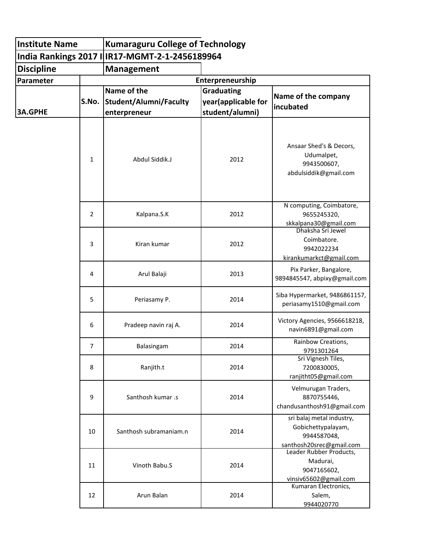| <b>Institute Name</b> |       | <b>Kumaraguru College of Technology</b>                      |                                                             |                                                                                            |  |  |  |
|-----------------------|-------|--------------------------------------------------------------|-------------------------------------------------------------|--------------------------------------------------------------------------------------------|--|--|--|
|                       |       | India Rankings 2017 I IR17-MGMT-2-1-2456189964               |                                                             |                                                                                            |  |  |  |
| <b>Discipline</b>     |       | <b>Management</b>                                            |                                                             |                                                                                            |  |  |  |
| Parameter             |       | Enterpreneurship                                             |                                                             |                                                                                            |  |  |  |
| <b>3A.GPHE</b>        | S.No. | Name of the<br><b>Student/Alumni/Faculty</b><br>enterpreneur | <b>Graduating</b><br>year(applicable for<br>student/alumni) | Name of the company<br> incubated                                                          |  |  |  |
|                       | 1     | Abdul Siddik.J                                               | 2012                                                        | Ansaar Shed's & Decors,<br>Udumalpet,<br>9943500607,<br>abdulsiddik@gmail.com              |  |  |  |
|                       | 2     | Kalpana.S.K                                                  | 2012                                                        | N computing, Coimbatore,<br>9655245320,<br>skkalpana30@gmail.com                           |  |  |  |
|                       | 3     | Kiran kumar                                                  | 2012                                                        | Dhaksha Sri Jewel<br>Coimbatore.<br>9942022234<br>kirankumarkct@gmail.com                  |  |  |  |
|                       | 4     | Arul Balaji                                                  | 2013                                                        | Pix Parker, Bangalore,<br>9894845547, abpixy@gmail.com                                     |  |  |  |
|                       | 5     | Periasamy P.                                                 | 2014                                                        | Siba Hypermarket, 9486861157,<br>periasamy1510@gmail.com                                   |  |  |  |
|                       | 6     | Pradeep navin raj A.                                         | 2014                                                        | Victory Agencies, 9566618218,<br>navin6891@gmail.com                                       |  |  |  |
|                       | 7     | Balasingam                                                   | 2014                                                        | Rainbow Creations,<br>9791301264                                                           |  |  |  |
|                       | 8     | Ranjith.t                                                    | 2014                                                        | Sri Vignesh Tiles,<br>7200830005,<br>ranjitht05@gmail.com                                  |  |  |  |
|                       | 9     | Santhosh kumar .s                                            | 2014                                                        | Velmurugan Traders,<br>8870755446,<br>chandusanthosh91@gmail.com                           |  |  |  |
|                       | 10    | Santhosh subramaniam.n                                       | 2014                                                        | sri balaj metal industry,<br>Gobichettypalayam,<br>9944587048,<br>santhosh20srec@gmail.com |  |  |  |
|                       | 11    | Vinoth Babu.S                                                | 2014                                                        | Leader Rubber Products,<br>Madurai,<br>9047165602,<br>vinsiv65602@gmail.com                |  |  |  |
|                       | 12    | Arun Balan                                                   | 2014                                                        | Kumaran Electronics,<br>Salem,<br>9944020770                                               |  |  |  |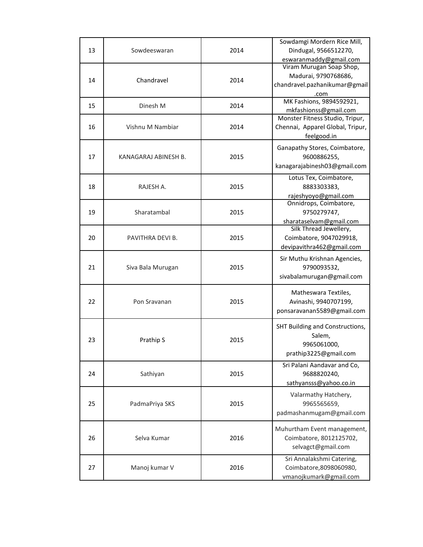| 13 | Sowdeeswaran         | 2014 | Sowdamgi Mordern Rice Mill,<br>Dindugal, 9566512270,<br>eswaranmaddy@gmail.com            |
|----|----------------------|------|-------------------------------------------------------------------------------------------|
| 14 | Chandravel           | 2014 | Viram Murugan Soap Shop,<br>Madurai, 9790768686,<br>chandravel.pazhanikumar@gmail<br>.com |
| 15 | Dinesh M             | 2014 | MK Fashions, 9894592921,<br>mkfashionss@gmail.com                                         |
| 16 | Vishnu M Nambiar     | 2014 | Monster Fitness Studio, Tripur,<br>Chennai, Apparel Global, Tripur,<br>feelgood.in        |
| 17 | KANAGARAJ ABINESH B. | 2015 | Ganapathy Stores, Coimbatore,<br>9600886255,<br>kanagarajabinesh03@gmail.com              |
| 18 | RAJESH A.            | 2015 | Lotus Tex, Coimbatore,<br>8883303383,<br>rajeshyoyo@gmail.com                             |
| 19 | Sharatambal          | 2015 | Onnidrops, Coimbatore,<br>9750279747,<br>sharataselvam@gmail.com                          |
| 20 | PAVITHRA DEVI B.     | 2015 | Silk Thread Jewellery,<br>Coimbatore, 9047029918,<br>devipavithra462@gmail.com            |
| 21 | Siva Bala Murugan    | 2015 | Sir Muthu Krishnan Agencies,<br>9790093532,<br>sivabalamurugan@gmail.com                  |
| 22 | Pon Sravanan         | 2015 | Matheswara Textiles,<br>Avinashi, 9940707199,<br>ponsaravanan5589@gmail.com               |
| 23 | Prathip S            | 2015 | SHT Building and Constructions,<br>Salem,<br>9965061000.<br>prathip3225@gmail.com         |
| 24 | Sathiyan             | 2015 | Sri Palani Aandavar and Co,<br>9688820240,<br>sathyansss@yahoo.co.in                      |
| 25 | PadmaPriya SKS       | 2015 | Valarmathy Hatchery,<br>9965565659,<br>padmashanmugam@gmail.com                           |
| 26 | Selva Kumar          | 2016 | Muhurtham Event management,<br>Coimbatore, 8012125702,<br>selvagct@gmail.com              |
| 27 | Manoj kumar V        | 2016 | Sri Annalakshmi Catering,<br>Coimbatore, 8098060980,<br>vmanojkumark@gmail.com            |